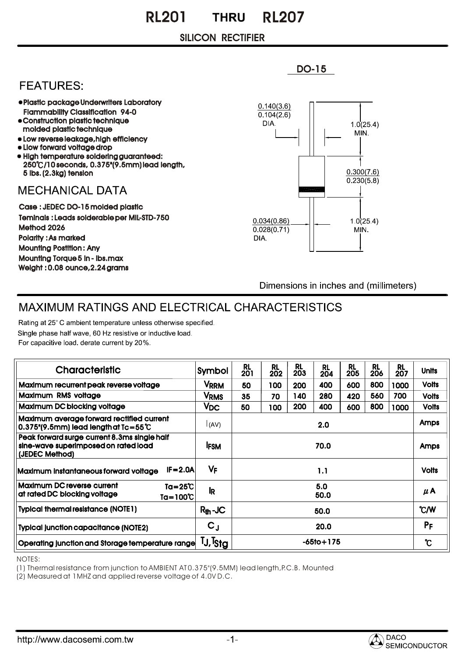## SILICON RECTIFIER

## **FEATURES:**

- Plastic package Underwriters Laboratory Flammability Classification 94-0
- Construction plastic technique
- molded plastic technique Low reverse leakage,hIgh efficiency
- Llow forward voltage drop
- High temperature soldering guaranteed: 250 /10 seconds, 0.375"(9.5mm) lead length, 5 lbs. (2.3kg) tension

## **MECHANICAL DATA**

Case : JEDEC DO-15 molded plastic Teminals : Leads solderable per MIL-STD-750 Method 2026 Polarity : As marked Mounting Postition : Any Mounting Torque 5 in - lbs.max Weight : 0.08 ounce,2.24 grams



Dimensions in inches and (millimeters)

## MAXIMUM RATINGS AND ELECTRICAL CHARACTERISTICS

Rating at 25°C ambient temperature unless otherwise specified. Single phase half wave, 60 Hz resistive or inductive load. For capacitive load. derate current by 20%.

| <b>Characteristic</b>                                                                                  | Symbol                    | RL<br>201       | <b>RL</b><br>202 | <b>RL</b><br>203 | <b>RL</b><br>204 | <b>RL</b><br>205 | <b>RL</b><br>206 | <b>RL</b><br>207 | <b>Units</b> |
|--------------------------------------------------------------------------------------------------------|---------------------------|-----------------|------------------|------------------|------------------|------------------|------------------|------------------|--------------|
| Maximum recurrent peak reverse voltage                                                                 | <b>VRRM</b>               | 50              | 100              | 200              | 400              | 600              | 800              | 1000             | <b>Volts</b> |
| Maximum RMS voltage                                                                                    | <b>V<sub>RMS</sub></b>    | 35              | 70               | 140              | 280              | 420              | 560              | 700              | <b>Volts</b> |
| Maximum DC blocking voltage                                                                            | <b>V<sub>DC</sub></b>     | 50              | 100              | 200              | 400              | 600              | 800              | 1000             | <b>Volts</b> |
| Maximum average forward rectified current<br>$0.375$ "(9.5mm) lead length at Tc=55°C                   | (AV)                      | 2.0             |                  |                  |                  |                  |                  |                  | <b>Amps</b>  |
| Peak forward surge current 8.3ms single half<br>sine-wave superimposed on rated load<br>(JEDEC Method) | <b>IFSM</b>               | 70.0            |                  |                  |                  |                  |                  |                  | Amps         |
| $IF = 2.0A$<br><b>Maximum instantaneous forward voltage</b>                                            | VF                        | 1.1             |                  |                  |                  |                  |                  |                  | <b>Volts</b> |
| <b>Maximum DC reverse current</b><br>$Ta = 25^{\circ}C$<br>at rated DC blocking voltage<br>Ta=100°C    | <b>l</b> R                | 5.0<br>50.0     |                  |                  |                  |                  |                  |                  | μA           |
| <b>Typical thermal resistance (NOTE1)</b>                                                              | $R_{th}$ -JC              | 50.0            |                  |                  |                  |                  |                  |                  | °C/W         |
| <b>Typical junction capacitance (NOTE2)</b>                                                            | $\mathsf{C}_{\mathsf{J}}$ | 20.0            |                  |                  |                  |                  |                  |                  | PF           |
| Operating junction and Storage temperature range                                                       | TJ,T <sub>Sta</sub>       | $-65$ to $+175$ |                  |                  |                  |                  |                  |                  | "ເ           |

NOTES:

(1) Thermal resistance from junction to AMBIENT AT 0.375"(9.5MM) lead length,P.C.B. Mounted

(2) Measured at 1MHZ and applied reverse voltage of 4.0V D.C.



DO-15